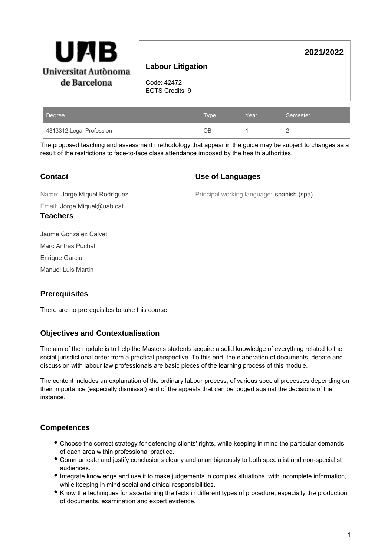

## **Labour Litigation**

Code: 42472 ECTS Credits: 9

| Degree                   | Type | Year | Semester |
|--------------------------|------|------|----------|
| 4313312 Legal Profession | ЭB   |      |          |

The proposed teaching and assessment methodology that appear in the guide may be subject to changes as a result of the restrictions to face-to-face class attendance imposed by the health authorities.

#### **Contact**

#### **Use of Languages**

Principal working language: spanish (spa)

**2021/2022**

Email: Jorge.Miquel@uab.cat Name: Jorge Miquel Rodríguez **Teachers**

Jaume González Calvet

Marc Antras Puchal

Enrique Garcia

Manuel Luis Martin

## **Prerequisites**

There are no prerequisites to take this course.

## **Objectives and Contextualisation**

The aim of the module is to help the Master's students acquire a solid knowledge of everything related to the social jurisdictional order from a practical perspective. To this end, the elaboration of documents, debate and discussion with labour law professionals are basic pieces of the learning process of this module.

The content includes an explanation of the ordinary labour process, of various special processes depending on their importance (especially dismissal) and of the appeals that can be lodged against the decisions of the instance.

## **Competences**

- Choose the correct strategy for defending clients' rights, while keeping in mind the particular demands of each area within professional practice.
- Communicate and justify conclusions clearly and unambiguously to both specialist and non-specialist audiences.
- Integrate knowledge and use it to make judgements in complex situations, with incomplete information, while keeping in mind social and ethical responsibilities.
- Know the techniques for ascertaining the facts in different types of procedure, especially the production of documents, examination and expert evidence.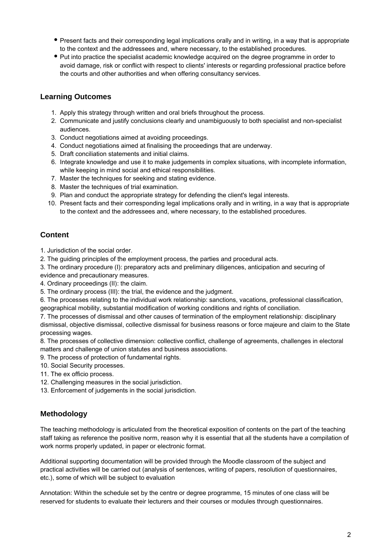- Present facts and their corresponding legal implications orally and in writing, in a way that is appropriate to the context and the addressees and, where necessary, to the established procedures.
- Put into practice the specialist academic knowledge acquired on the degree programme in order to avoid damage, risk or conflict with respect to clients' interests or regarding professional practice before the courts and other authorities and when offering consultancy services.

#### **Learning Outcomes**

- 1. Apply this strategy through written and oral briefs throughout the process.
- 2. Communicate and justify conclusions clearly and unambiguously to both specialist and non-specialist audiences.
- 3. Conduct negotiations aimed at avoiding proceedings.
- 4. Conduct negotiations aimed at finalising the proceedings that are underway.
- 5. Draft conciliation statements and initial claims.
- 6. Integrate knowledge and use it to make judgements in complex situations, with incomplete information, while keeping in mind social and ethical responsibilities.
- 7. Master the techniques for seeking and stating evidence.
- 8. Master the techniques of trial examination.
- 9. Plan and conduct the appropriate strategy for defending the client's legal interests.
- 10. Present facts and their corresponding legal implications orally and in writing, in a way that is appropriate to the context and the addressees and, where necessary, to the established procedures.

## **Content**

1. Jurisdiction of the social order.

2. The guiding principles of the employment process, the parties and procedural acts.

3. The ordinary procedure (I): preparatory acts and preliminary diligences, anticipation and securing of

evidence and precautionary measures.

4. Ordinary proceedings (II): the claim.

5. The ordinary process (III): the trial, the evidence and the judgment.

6. The processes relating to the individual work relationship: sanctions, vacations, professional classification, geographical mobility, substantial modification of working conditions and rights of conciliation.

7. The processes of dismissal and other causes of termination of the employment relationship: disciplinary

dismissal, objective dismissal, collective dismissal for business reasons or force majeure and claim to the State processing wages.

8. The processes of collective dimension: collective conflict, challenge of agreements, challenges in electoral matters and challenge of union statutes and business associations.

9. The process of protection of fundamental rights.

10. Social Security processes.

- 11. The ex officio process.
- 12. Challenging measures in the social jurisdiction.

13. Enforcement of judgements in the social jurisdiction.

## **Methodology**

The teaching methodology is articulated from the theoretical exposition of contents on the part of the teaching staff taking as reference the positive norm, reason why it is essential that all the students have a compilation of work norms properly updated, in paper or electronic format.

Additional supporting documentation will be provided through the Moodle classroom of the subject and practical activities will be carried out (analysis of sentences, writing of papers, resolution of questionnaires, etc.), some of which will be subject to evaluation

Annotation: Within the schedule set by the centre or degree programme, 15 minutes of one class will be reserved for students to evaluate their lecturers and their courses or modules through questionnaires.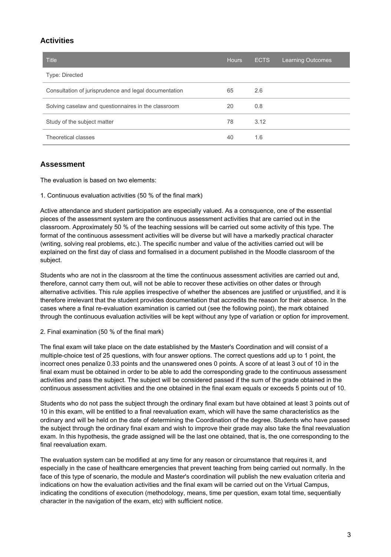#### **Activities**

| <b>Title</b>                                          | <b>Hours</b> | <b>ECTS</b> | <b>Learning Outcomes</b> |
|-------------------------------------------------------|--------------|-------------|--------------------------|
| <b>Type: Directed</b>                                 |              |             |                          |
| Consultation of jurisprudence and legal documentation | 65           | 2.6         |                          |
| Solving caselaw and questionnaires in the classroom   | 20           | 0.8         |                          |
| Study of the subject matter                           | 78           | 3.12        |                          |
| Theoretical classes                                   | 40           | 1.6         |                          |

#### **Assessment**

The evaluation is based on two elements:

1. Continuous evaluation activities (50 % of the final mark)

Active attendance and student participation are especially valued. As a consquence, one of the essential pieces of the assessment system are the continuous assessment activities that are carried out in the classroom. Approximately 50 % of the teaching sessions will be carried out some activity of this type. The format of the continuous assessment activities will be diverse but will have a markedly practical character (writing, solving real problems, etc.). The specific number and value of the activities carried out will be explained on the first day of class and formalised in a document published in the Moodle classroom of the subject.

Students who are not in the classroom at the time the continuous assessment activities are carried out and, therefore, cannot carry them out, will not be able to recover these activities on other dates or through alternative activities. This rule applies irrespective of whether the absences are justified or unjustified, and it is therefore irrelevant that the student provides documentation that accredits the reason for their absence. In the cases where a final re-evaluation examination is carried out (see the following point), the mark obtained through the continuous evaluation activities will be kept without any type of variation or option for improvement.

#### 2. Final examination (50 % of the final mark)

The final exam will take place on the date established by the Master's Coordination and will consist of a multiple-choice test of 25 questions, with four answer options. The correct questions add up to 1 point, the incorrect ones penalize 0.33 points and the unanswered ones 0 points. A score of at least 3 out of 10 in the final exam must be obtained in order to be able to add the corresponding grade to the continuous assessment activities and pass the subject. The subject will be considered passed if the sum of the grade obtained in the continuous assessment activities and the one obtained in the final exam equals or exceeds 5 points out of 10.

Students who do not pass the subject through the ordinary final exam but have obtained at least 3 points out of 10 in this exam, will be entitled to a final reevaluation exam, which will have the same characteristics as the ordinary and will be held on the date of determining the Coordination of the degree. Students who have passed the subject through the ordinary final exam and wish to improve their grade may also take the final reevaluation exam. In this hypothesis, the grade assigned will be the last one obtained, that is, the one corresponding to the final reevaluation exam.

The evaluation system can be modified at any time for any reason or circumstance that requires it, and especially in the case of healthcare emergencies that prevent teaching from being carried out normally. In the face of this type of scenario, the module and Master's coordination will publish the new evaluation criteria and indications on how the evaluation activities and the final exam will be carried out on the Virtual Campus, indicating the conditions of execution (methodology, means, time per question, exam total time, sequentially character in the navigation of the exam, etc) with sufficient notice.